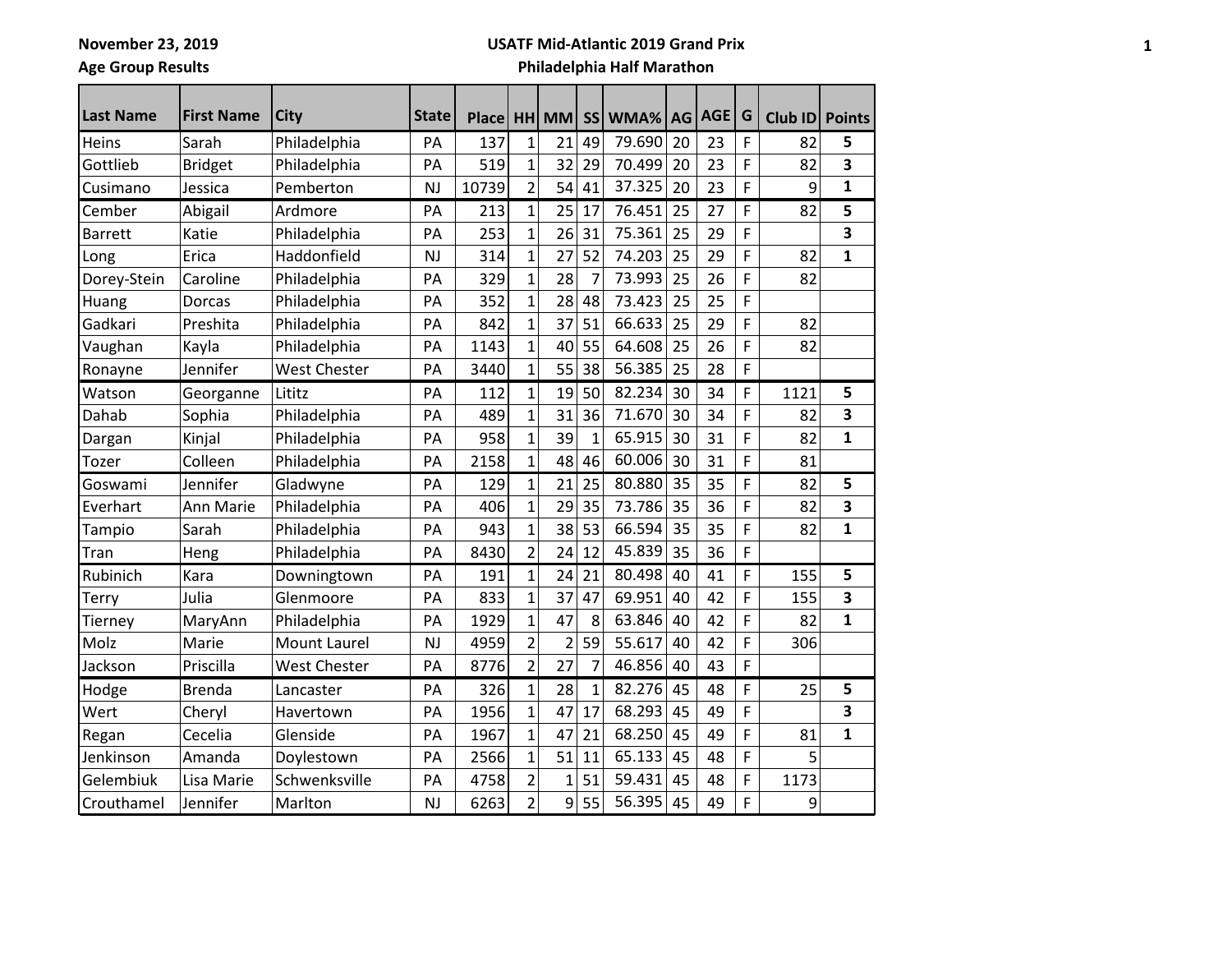## **Age Group Results**

#### **USATF Mid-Atlantic 2019 Grand Prix**

| <b>Last Name</b> | <b>First Name</b> | <b>City</b>         | <b>State</b> | <b>Place</b> |                         | HH MM          |              | SS WMA% | <b>AG</b> | AGE | G | Club ID | <b>Points</b> |
|------------------|-------------------|---------------------|--------------|--------------|-------------------------|----------------|--------------|---------|-----------|-----|---|---------|---------------|
| Heins            | Sarah             | Philadelphia        | PA           | 137          | $\mathbf{1}$            | 21             | 49           | 79.690  | 20        | 23  | F | 82      | 5             |
| Gottlieb         | <b>Bridget</b>    | Philadelphia        | PA           | 519          | $\overline{1}$          | 32             | 29           | 70.499  | 20        | 23  | F | 82      | 3             |
| Cusimano         | Jessica           | Pemberton           | <b>NJ</b>    | 10739        | 2                       | 54             | 41           | 37.325  | 20        | 23  | F | 9       | $\mathbf{1}$  |
| Cember           | Abigail           | Ardmore             | PA           | 213          | 1                       | 25             | 17           | 76.451  | 25        | 27  | F | 82      | 5             |
| <b>Barrett</b>   | Katie             | Philadelphia        | PA           | 253          | $\overline{1}$          | 26             | 31           | 75.361  | 25        | 29  | F |         | 3             |
| Long             | Erica             | Haddonfield         | <b>NJ</b>    | 314          | 1                       | 27             | 52           | 74.203  | 25        | 29  | F | 82      | $\mathbf{1}$  |
| Dorey-Stein      | Caroline          | Philadelphia        | PA           | 329          | $\overline{1}$          | 28             | 7            | 73.993  | 25        | 26  | F | 82      |               |
| Huang            | Dorcas            | Philadelphia        | PA           | 352          | $\mathbf 1$             | 28             | 48           | 73.423  | 25        | 25  | F |         |               |
| Gadkari          | Preshita          | Philadelphia        | PA           | 842          | $\overline{1}$          | 37             | 51           | 66.633  | 25        | 29  | F | 82      |               |
| Vaughan          | Kayla             | Philadelphia        | PA           | 1143         | 1                       | 40             | 55           | 64.608  | 25        | 26  | F | 82      |               |
| Ronayne          | Jennifer          | <b>West Chester</b> | PA           | 3440         | 1                       | 55             | 38           | 56.385  | 25        | 28  | F |         |               |
| Watson           | Georganne         | Lititz              | PA           | 112          | 1                       | 19             | 50           | 82.234  | 30        | 34  | F | 1121    | 5             |
| Dahab            | Sophia            | Philadelphia        | PA           | 489          | 1                       | 31             | 36           | 71.670  | 30        | 34  | F | 82      | 3             |
| Dargan           | Kinjal            | Philadelphia        | PA           | 958          | $\mathbf{1}$            | 39             | 1            | 65.915  | 30        | 31  | F | 82      | $\mathbf{1}$  |
| Tozer            | Colleen           | Philadelphia        | PA           | 2158         | 1                       | 48             | 46           | 60.006  | 30        | 31  | F | 81      |               |
| Goswami          | Jennifer          | Gladwyne            | PA           | 129          | 1                       | 21             | 25           | 80.880  | 35        | 35  | F | 82      | 5             |
| Everhart         | Ann Marie         | Philadelphia        | PA           | 406          | $\overline{1}$          | 29             | 35           | 73.786  | 35        | 36  | F | 82      | 3             |
| Tampio           | Sarah             | Philadelphia        | PA           | 943          | 1                       | 38             | 53           | 66.594  | 35        | 35  | F | 82      | 1             |
| Tran             | Heng              | Philadelphia        | PA           | 8430         | $\overline{2}$          | 24             | 12           | 45.839  | 35        | 36  | F |         |               |
| Rubinich         | Kara              | Downingtown         | PA           | 191          | 1                       | 24             | 21           | 80.498  | 40        | 41  | F | 155     | 5             |
| Terry            | Julia             | Glenmoore           | PA           | 833          | $\mathbf{1}$            | 37             | 47           | 69.951  | 40        | 42  | F | 155     | 3             |
| Tierney          | MaryAnn           | Philadelphia        | PA           | 1929         | $\overline{1}$          | 47             | 8            | 63.846  | 40        | 42  | F | 82      | $\mathbf{1}$  |
| Molz             | Marie             | <b>Mount Laurel</b> | <b>NJ</b>    | 4959         | $\overline{2}$          | $\overline{2}$ | 59           | 55.617  | 40        | 42  | F | 306     |               |
| Jackson          | Priscilla         | <b>West Chester</b> | PA           | 8776         | $\overline{2}$          | 27             | 7            | 46.856  | 40        | 43  | F |         |               |
| Hodge            | <b>Brenda</b>     | Lancaster           | PA           | 326          | $\mathbf{1}$            | 28             | $\mathbf{1}$ | 82.276  | 45        | 48  | F | 25      | 5             |
| Wert             | Cheryl            | Havertown           | PA           | 1956         | 1                       | 47             | 17           | 68.293  | 45        | 49  | F |         | 3             |
| Regan            | Cecelia           | Glenside            | PA           | 1967         | $\mathbf 1$             | 47             | 21           | 68.250  | 45        | 49  | F | 81      | $\mathbf{1}$  |
| Jenkinson        | Amanda            | Doylestown          | PA           | 2566         | $\overline{1}$          | 51             | 11           | 65.133  | 45        | 48  | F | 5       |               |
| Gelembiuk        | Lisa Marie        | Schwenksville       | PA           | 4758         | $\overline{\mathbf{c}}$ | 1              | 51           | 59.431  | 45        | 48  | F | 1173    |               |
| Crouthamel       | Jennifer          | Marlton             | <b>NJ</b>    | 6263         | $\overline{2}$          | 9              | 55           | 56.395  | 45        | 49  | F | 9       |               |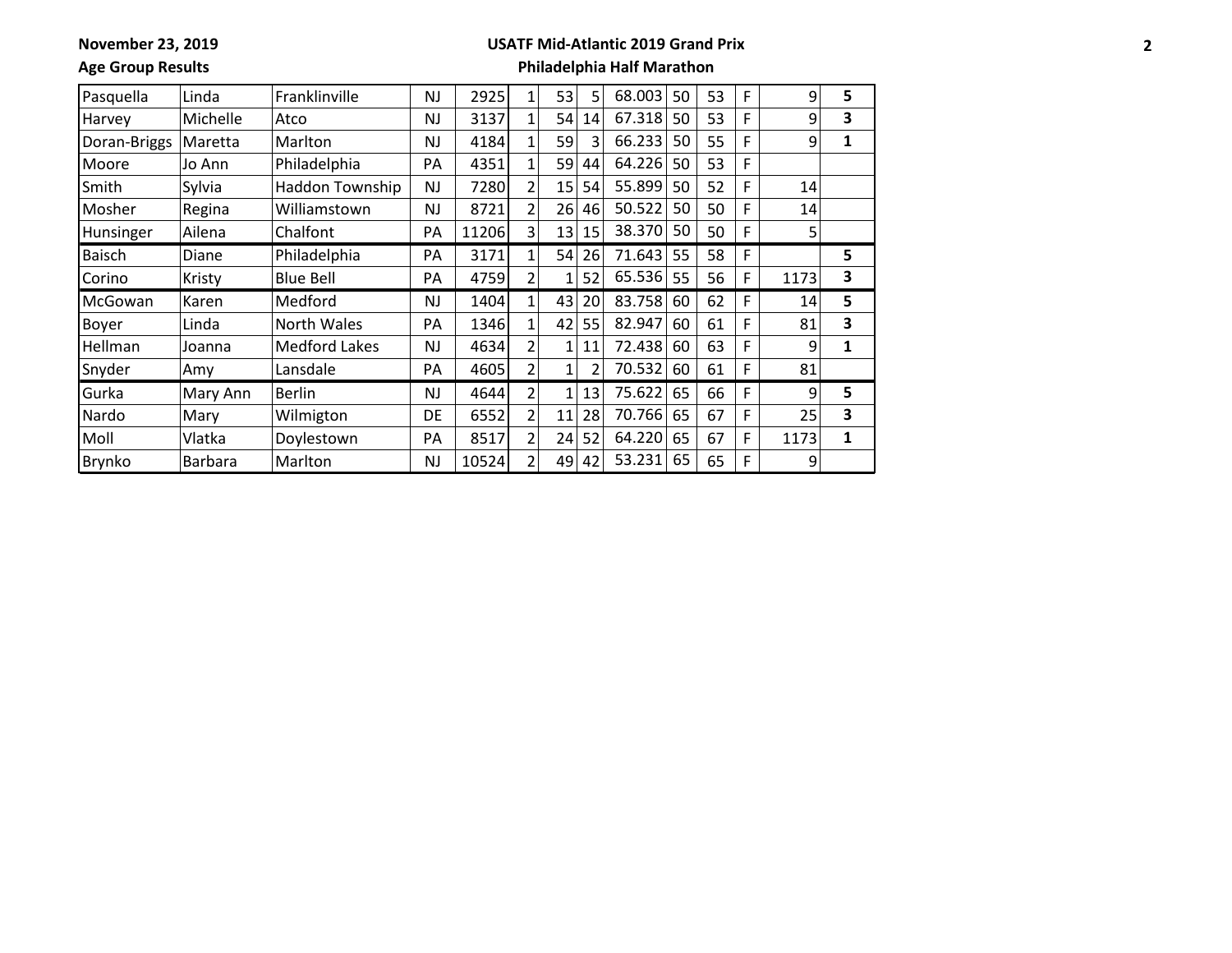**November 23, 2019**

#### **USATF Mid-Atlantic 2019 Grand Prix**

**Age Group Results**

| Pasquella     | Linda    | Franklinville        | NJ | 2925  | $\mathbf{1}$   | 53 | 5  | 68.003 | 50 | 53 | F | 9    | 5 |
|---------------|----------|----------------------|----|-------|----------------|----|----|--------|----|----|---|------|---|
| Harvey        | Michelle | Atco                 | NJ | 3137  | 1              | 54 | 14 | 67.318 | 50 | 53 | F | 9    | 3 |
| Doran-Briggs  | Maretta  | Marlton              | NJ | 4184  | 1              | 59 | 3  | 66.233 | 50 | 55 | F | 9    | 1 |
| Moore         | Jo Ann   | Philadelphia         | PA | 4351  |                | 59 | 44 | 64.226 | 50 | 53 | F |      |   |
| Smith         | Sylvia   | Haddon Township      | NJ | 7280  | 2              | 15 | 54 | 55.899 | 50 | 52 | F | 14   |   |
| Mosher        | Regina   | Williamstown         | NJ | 8721  | 2              | 26 | 46 | 50.522 | 50 | 50 | F | 14   |   |
| Hunsinger     | Ailena   | Chalfont             | PA | 11206 | 3              | 13 | 15 | 38.370 | 50 | 50 | F | 5    |   |
| <b>Baisch</b> | Diane    | Philadelphia         | PA | 3171  | 1              | 54 | 26 | 71.643 | 55 | 58 | F |      | 5 |
| Corino        | Kristy   | <b>Blue Bell</b>     | PA | 4759  | 2              | 1  | 52 | 65.536 | 55 | 56 | F | 1173 | 3 |
| McGowan       | Karen    | Medford              | NJ | 1404  | 1              | 43 | 20 | 83.758 | 60 | 62 | F | 14   | 5 |
| Boyer         | Linda    | North Wales          | PA | 1346  |                | 42 | 55 | 82.947 | 60 | 61 | F | 81   | 3 |
| Hellman       | Joanna   | <b>Medford Lakes</b> | NJ | 4634  | C              | 1  | 11 | 72.438 | 60 | 63 | F | 9    | 1 |
| Snyder        | Amy      | Lansdale             | PA | 4605  | $\overline{2}$ | 1  |    | 70.532 | 60 | 61 | F | 81   |   |
| Gurka         | Mary Ann | <b>Berlin</b>        | NJ | 4644  | 2              | 1  | 13 | 75.622 | 65 | 66 | F | 9    | 5 |
| Nardo         | Mary     | Wilmigton            | DE | 6552  | 2              | 11 | 28 | 70.766 | 65 | 67 | F | 25   | 3 |
| Moll          | Vlatka   | Doylestown           | PA | 8517  | $\overline{2}$ | 24 | 52 | 64.220 | 65 | 67 | F | 1173 | 1 |
| Brynko        | Barbara  | Marlton              | NJ | 10524 | $\mathfrak{p}$ | 49 | 42 | 53.231 | 65 | 65 | F | 9    |   |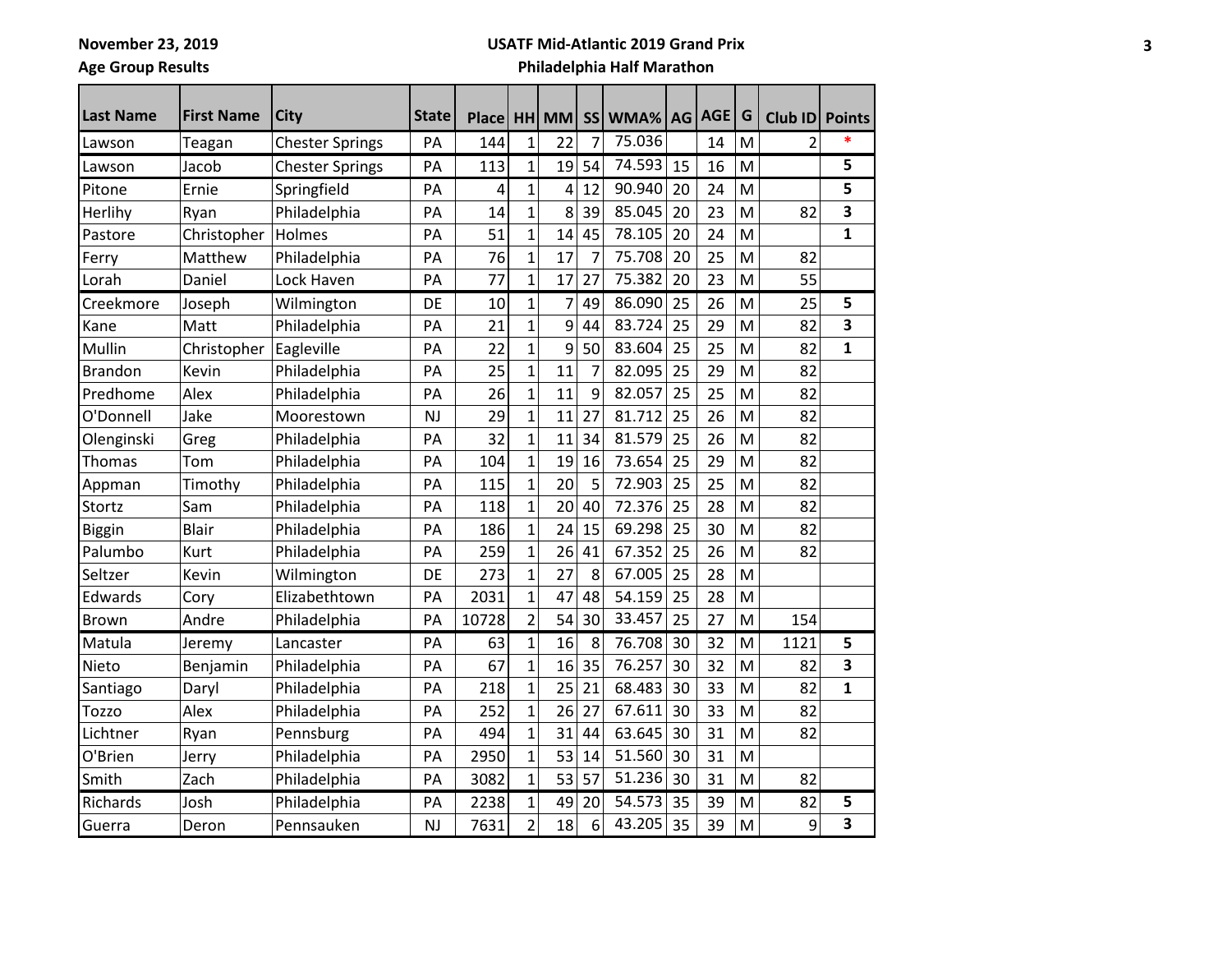**Age Group Results**

## **USATF Mid-Atlantic 2019 Grand Prix**

| <b>Last Name</b> | <b>First Name</b> | City                   | <b>State</b> | <b>Place</b> |                | HH MM |                | SS WMA% AG |    | <b>AGE</b> | G | <b>Club ID</b> | <b>Points</b> |
|------------------|-------------------|------------------------|--------------|--------------|----------------|-------|----------------|------------|----|------------|---|----------------|---------------|
| Lawson           | Teagan            | <b>Chester Springs</b> | PA           | 144          | 1              | 22    | 7              | 75.036     |    | 14         | M | 2              |               |
| Lawson           | Jacob             | <b>Chester Springs</b> | PA           | 113          | 1              | 19    | 54             | 74.593     | 15 | 16         | M |                | 5             |
| Pitone           | Ernie             | Springfield            | PA           | 4            | 1              | 4     | 12             | 90.940     | 20 | 24         | M |                | 5             |
| Herlihy          | Ryan              | Philadelphia           | PA           | 14           | 1              | 8     | 39             | 85.045     | 20 | 23         | M | 82             | 3             |
| Pastore          | Christopher       | Holmes                 | PA           | 51           | $\overline{1}$ | 14    | 45             | 78.105     | 20 | 24         | M |                | $\mathbf{1}$  |
| Ferry            | Matthew           | Philadelphia           | PA           | 76           | $\mathbf 1$    | 17    | $\overline{7}$ | 75.708     | 20 | 25         | M | 82             |               |
| Lorah            | Daniel            | Lock Haven             | PA           | 77           | 1              | 17    | 27             | 75.382     | 20 | 23         | M | 55             |               |
| Creekmore        | Joseph            | Wilmington             | DE           | 10           | 1              | 7     | 49             | 86.090     | 25 | 26         | M | 25             | 5             |
| Kane             | Matt              | Philadelphia           | PA           | 21           | 1              | 9     | 44             | 83.724     | 25 | 29         | M | 82             | 3             |
| Mullin           | Christopher       | Eagleville             | PA           | 22           | 1              | 9     | 50             | 83.604     | 25 | 25         | M | 82             | 1             |
| <b>Brandon</b>   | Kevin             | Philadelphia           | PA           | 25           | $\mathbf{1}$   | 11    | 7              | 82.095     | 25 | 29         | M | 82             |               |
| Predhome         | Alex              | Philadelphia           | PA           | 26           | 1              | 11    | 9              | 82.057     | 25 | 25         | M | 82             |               |
| O'Donnell        | Jake              | Moorestown             | <b>NJ</b>    | 29           | $\mathbf{1}$   | 11    | 27             | 81.712     | 25 | 26         | M | 82             |               |
| Olenginski       | Greg              | Philadelphia           | PA           | 32           | 1              | 11    | 34             | 81.579     | 25 | 26         | M | 82             |               |
| Thomas           | Tom               | Philadelphia           | PA           | 104          | 1              | 19    | 16             | 73.654     | 25 | 29         | M | 82             |               |
| Appman           | Timothy           | Philadelphia           | PA           | 115          | 1              | 20    | 5              | 72.903     | 25 | 25         | M | 82             |               |
| Stortz           | Sam               | Philadelphia           | PA           | 118          | $\mathbf{1}$   | 20    | 40             | 72.376     | 25 | 28         | M | 82             |               |
| <b>Biggin</b>    | <b>Blair</b>      | Philadelphia           | PA           | 186          | 1              | 24    | 15             | 69.298     | 25 | 30         | M | 82             |               |
| Palumbo          | Kurt              | Philadelphia           | PA           | 259          | 1              | 26    | 41             | 67.352     | 25 | 26         | M | 82             |               |
| Seltzer          | Kevin             | Wilmington             | DE           | 273          | 1              | 27    | 8              | 67.005     | 25 | 28         | M |                |               |
| Edwards          | Cory              | Elizabethtown          | PA           | 2031         | $\mathbf{1}$   | 47    | 48             | 54.159     | 25 | 28         | M |                |               |
| <b>Brown</b>     | Andre             | Philadelphia           | PA           | 10728        | $\overline{2}$ | 54    | 30             | 33.457     | 25 | 27         | M | 154            |               |
| Matula           | Jeremy            | Lancaster              | PA           | 63           | 1              | 16    | 8              | 76.708     | 30 | 32         | M | 1121           | 5             |
| Nieto            | Benjamin          | Philadelphia           | PA           | 67           | 1              | 16    | 35             | 76.257     | 30 | 32         | M | 82             | 3             |
| Santiago         | Daryl             | Philadelphia           | PA           | 218          | 1              | 25    | 21             | 68.483     | 30 | 33         | M | 82             | 1             |
| Tozzo            | Alex              | Philadelphia           | PA           | 252          | $\mathbf{1}$   | 26    | 27             | 67.611     | 30 | 33         | M | 82             |               |
| Lichtner         | Ryan              | Pennsburg              | PA           | 494          | 1              | 31    | 44             | 63.645     | 30 | 31         | M | 82             |               |
| O'Brien          | Jerry             | Philadelphia           | PA           | 2950         | $\mathbf{1}$   | 53    | 14             | 51.560     | 30 | 31         | M |                |               |
| Smith            | Zach              | Philadelphia           | PA           | 3082         | 1              | 53    | 57             | 51.236     | 30 | 31         | M | 82             |               |
| Richards         | Josh              | Philadelphia           | PA           | 2238         | 1              | 49    | 20             | 54.573     | 35 | 39         | M | 82             | 5             |
| Guerra           | Deron             | Pennsauken             | <b>NJ</b>    | 7631         | $\overline{2}$ | 18    | 6              | 43.205     | 35 | 39         | M | 9              | 3             |